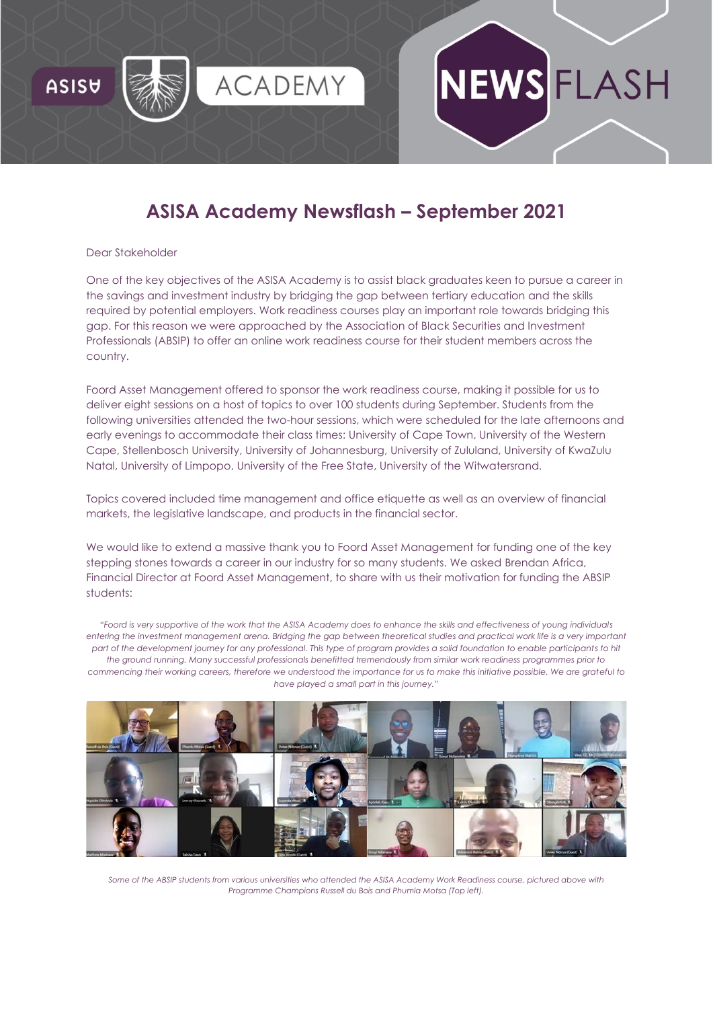

# WSFLASH

# **ASISA Academy Newsflash – September 2021**

#### Dear Stakeholder

One of the key objectives of the ASISA Academy is to assist black graduates keen to pursue a career in the savings and investment industry by bridging the gap between tertiary education and the skills required by potential employers. Work readiness courses play an important role towards bridging this gap. For this reason we were approached by the Association of Black Securities and Investment Professionals (ABSIP) to offer an online work readiness course for their student members across the country.

Foord Asset Management offered to sponsor the work readiness course, making it possible for us to deliver eight sessions on a host of topics to over 100 students during September. Students from the following universities attended the two-hour sessions, which were scheduled for the late afternoons and early evenings to accommodate their class times: University of Cape Town, University of the Western Cape, Stellenbosch University, University of Johannesburg, University of Zululand, University of KwaZulu Natal, University of Limpopo, University of the Free State, University of the Witwatersrand.

Topics covered included time management and office etiquette as well as an overview of financial markets, the legislative landscape, and products in the financial sector.

We would like to extend a massive thank you to [Foord Asset Management](https://asisaacademy.createsend1.com/t/r-l-trwkuld-l-r/) for funding one of the key stepping stones towards a career in our industry for so many students. We asked Brendan Africa, Financial Director at Foord Asset Management, to share with us their motivation for funding the ABSIP students:

*"Foord is very supportive of the work that the ASISA Academy does to enhance the skills and effectiveness of young individuals entering the investment management arena. Bridging the gap between theoretical studies and practical work life is a very important part of the development journey for any professional. This type of program provides a solid foundation to enable participants to hit the ground running. Many successful professionals benefitted tremendously from similar work readiness programmes prior to commencing their working careers, therefore we understood the importance for us to make this initiative possible. We are grateful to have played a small part in this journey."*



*Some of the ABSIP students from various universities who attended the ASISA Academy Work Readiness course, pictured above with Programme Champions Russell du Bois and Phumla Motsa (Top left).*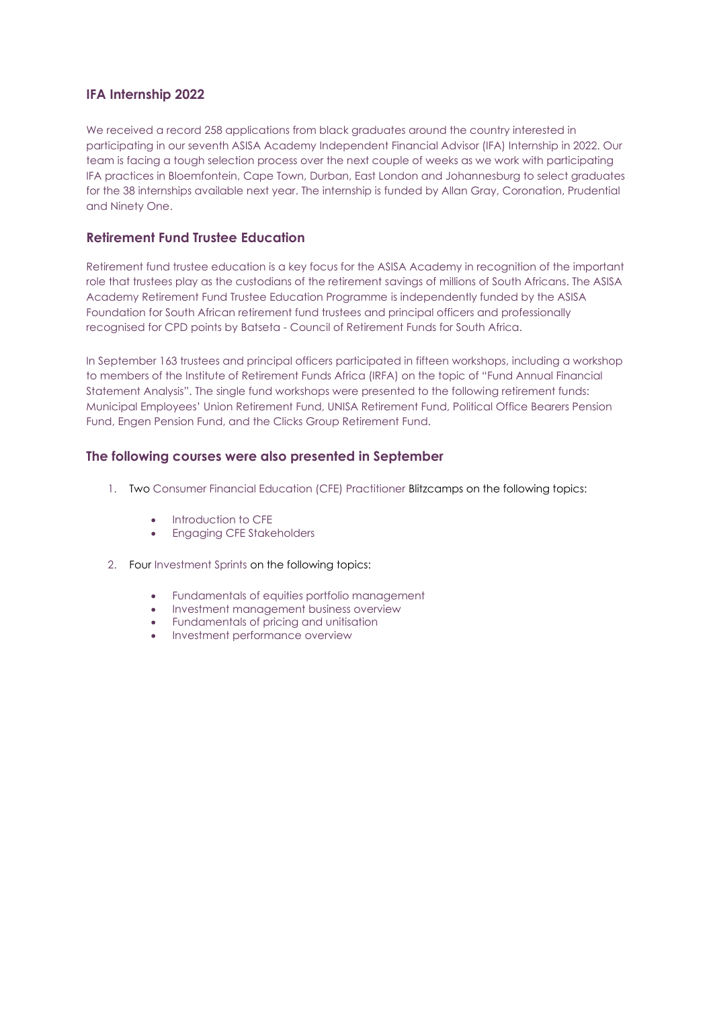## **IFA Internship 2022**

We received a record 258 applications from black graduates around the country interested in participating in our seventh ASISA Academy [Independent Financial Advisor \(IFA\) Internship](https://asisaacademy.createsend1.com/t/r-l-trwkuld-l-y/) in 2022. Our team is facing a tough selection process over the next couple of weeks as we work with participating IFA practices in Bloemfontein, Cape Town, Durban, East London and Johannesburg to select graduates for the 38 internships available next year. The internship is funded by Allan Gray, Coronation, Prudential and Ninety One.

# **Retirement Fund Trustee Education**

Retirement fund trustee education is a key focus for the ASISA Academy in recognition of the important role that trustees play as the custodians of the retirement savings of millions of South Africans. The ASISA Academy [Retirement Fund Trustee Education Programme](https://asisaacademy.createsend1.com/t/r-l-trwkuld-l-j/) is independently funded by the ASISA Foundation for South African retirement fund trustees and principal officers and professionally recognised for CPD points by [Batseta](https://asisaacademy.createsend1.com/t/r-l-trwkuld-l-t/) - Council of Retirement Funds for South Africa.

In September 163 trustees and principal officers participated in fifteen workshops, including a workshop to members of the Institute of Retirement Funds Africa (IRFA) on the topic of "Fund Annual Financial Statement Analysis". The single fund workshops were presented to the following retirement funds: Municipal Employees' Union Retirement Fund, UNISA Retirement Fund, Political Office Bearers Pension Fund, Engen Pension Fund, and the Clicks Group Retirement Fund.

# **The following courses were also presented in September**

- 1. Two [Consumer Financial Education \(CFE\) Practitioner](https://asisaacademy.createsend1.com/t/r-l-trwkuld-l-i/) Blitzcamps on the following topics:
	- Introduction to CFE
	- Engaging CFE Stakeholders
- 2. Four [Investment Sprints](https://asisaacademy.createsend1.com/t/r-l-trwkuld-l-d/) on the following topics:
	- Fundamentals of equities portfolio management
	- Investment management business overview
	- Fundamentals of pricing and unitisation
	- Investment performance overview